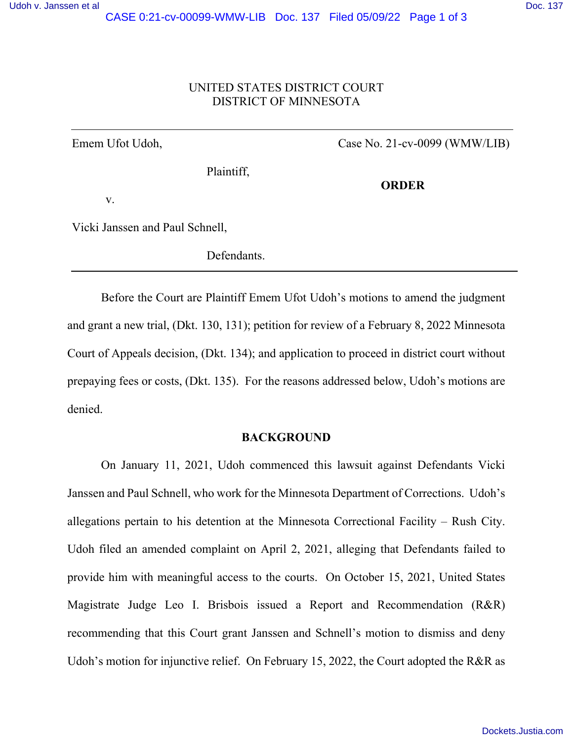# UNITED STATES DISTRICT COURT DISTRICT OF MINNESOTA

Emem Ufot Udoh, Case No. 21-cv-0099 (WMW/LIB)

Plaintiff,

**ORDER** 

v.

Vicki Janssen and Paul Schnell,

Defendants.

 Before the Court are Plaintiff Emem Ufot Udoh's motions to amend the judgment and grant a new trial, (Dkt. 130, 131); petition for review of a February 8, 2022 Minnesota Court of Appeals decision, (Dkt. 134); and application to proceed in district court without prepaying fees or costs, (Dkt. 135). For the reasons addressed below, Udoh's motions are denied.

### **BACKGROUND**

 On January 11, 2021, Udoh commenced this lawsuit against Defendants Vicki Janssen and Paul Schnell, who work for the Minnesota Department of Corrections. Udoh's allegations pertain to his detention at the Minnesota Correctional Facility – Rush City. Udoh filed an amended complaint on April 2, 2021, alleging that Defendants failed to provide him with meaningful access to the courts. On October 15, 2021, United States Magistrate Judge Leo I. Brisbois issued a Report and Recommendation (R&R) recommending that this Court grant Janssen and Schnell's motion to dismiss and deny Udoh's motion for injunctive relief. On February 15, 2022, the Court adopted the R&R as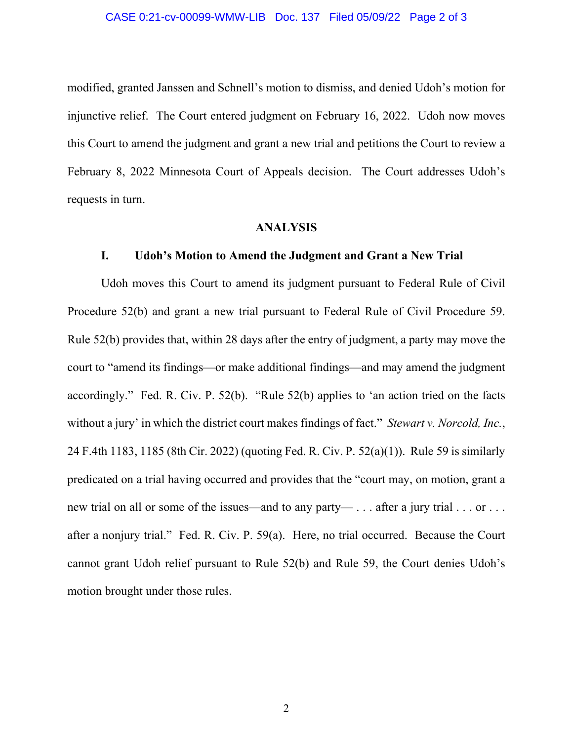#### CASE 0:21-cv-00099-WMW-LIB Doc. 137 Filed 05/09/22 Page 2 of 3

modified, granted Janssen and Schnell's motion to dismiss, and denied Udoh's motion for injunctive relief. The Court entered judgment on February 16, 2022. Udoh now moves this Court to amend the judgment and grant a new trial and petitions the Court to review a February 8, 2022 Minnesota Court of Appeals decision. The Court addresses Udoh's requests in turn.

### **ANALYSIS**

#### **I. Udoh's Motion to Amend the Judgment and Grant a New Trial**

 Udoh moves this Court to amend its judgment pursuant to Federal Rule of Civil Procedure 52(b) and grant a new trial pursuant to Federal Rule of Civil Procedure 59. Rule 52(b) provides that, within 28 days after the entry of judgment, a party may move the court to "amend its findings—or make additional findings—and may amend the judgment accordingly." Fed. R. Civ. P. 52(b). "Rule 52(b) applies to 'an action tried on the facts without a jury' in which the district court makes findings of fact." *Stewart v. Norcold, Inc.*, 24 F.4th 1183, 1185 (8th Cir. 2022) (quoting Fed. R. Civ. P. 52(a)(1)). Rule 59 is similarly predicated on a trial having occurred and provides that the "court may, on motion, grant a new trial on all or some of the issues—and to any party— . . . after a jury trial . . . or . . . after a nonjury trial." Fed. R. Civ. P. 59(a). Here, no trial occurred. Because the Court cannot grant Udoh relief pursuant to Rule 52(b) and Rule 59, the Court denies Udoh's motion brought under those rules.